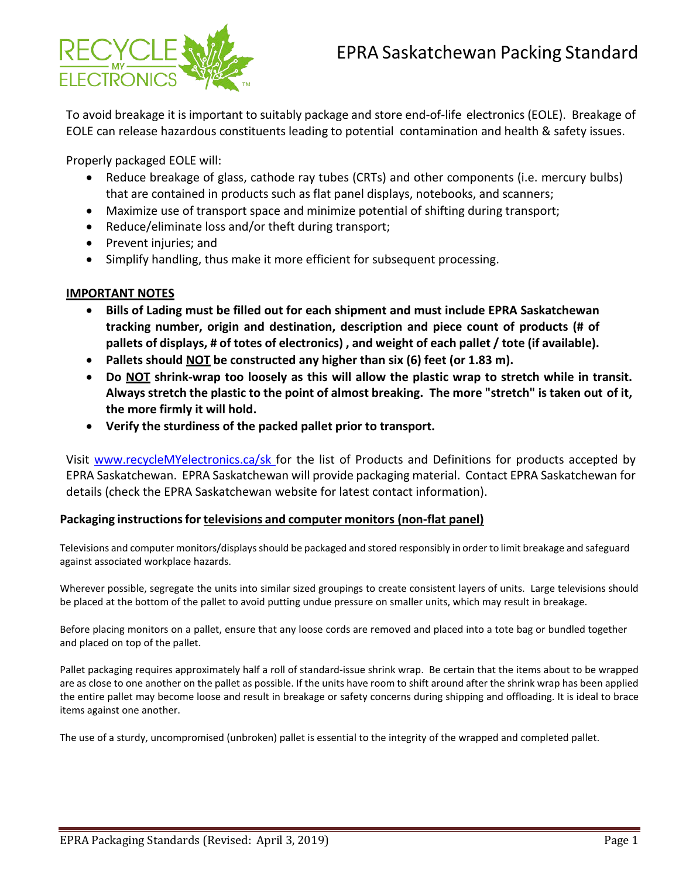

To avoid breakage it is important to suitably package and store end-of-life electronics (EOLE). Breakage of EOLE can release hazardous constituents leading to potential contamination and health & safety issues.

Properly packaged EOLE will:

- Reduce breakage of glass, cathode ray tubes (CRTs) and other components (i.e. mercury bulbs) that are contained in products such as flat panel displays, notebooks, and scanners;
- Maximize use of transport space and minimize potential of shifting during transport;
- Reduce/eliminate loss and/or theft during transport;
- Prevent injuries; and
- Simplify handling, thus make it more efficient for subsequent processing.

## **IMPORTANT NOTES**

- **Bills of Lading must be filled out for each shipment and must include EPRA Saskatchewan tracking number, origin and destination, description and piece count of products (# of pallets of displays, # of totes of electronics) , and weight of each pallet / tote (if available).**
- **Pallets should NOT be constructed any higher than six (6) feet (or 1.83 m).**
- **Do NOT shrink-wrap too loosely as this will allow the plastic wrap to stretch while in transit. Always stretch the plastic to the point of almost breaking. The more "stretch" is taken out of it, the more firmly it will hold.**
- **Verify the sturdiness of the packed pallet prior to transport.**

Visit [www.recycleMYelectronics.ca/sk f](http://www.recyclemyelectronics.ca/sk)or the list of Products and Definitions for products accepted by EPRA Saskatchewan. EPRA Saskatchewan will provide packaging material. Contact EPRA Saskatchewan for details (check the EPRA Saskatchewan website for latest contact information).

## **Packaging instructionsfor televisions and computer monitors (non-flat panel)**

Televisions and computer monitors/displays should be packaged and stored responsibly in order to limit breakage and safeguard against associated workplace hazards.

Wherever possible, segregate the units into similar sized groupings to create consistent layers of units. Large televisions should be placed at the bottom of the pallet to avoid putting undue pressure on smaller units, which may result in breakage.

Before placing monitors on a pallet, ensure that any loose cords are removed and placed into a tote bag or bundled together and placed on top of the pallet.

Pallet packaging requires approximately half a roll of standard-issue shrink wrap. Be certain that the items about to be wrapped are as close to one another on the pallet as possible. If the units have room to shift around after the shrink wrap has been applied the entire pallet may become loose and result in breakage or safety concerns during shipping and offloading. It is ideal to brace items against one another.

The use of a sturdy, uncompromised (unbroken) pallet is essential to the integrity of the wrapped and completed pallet.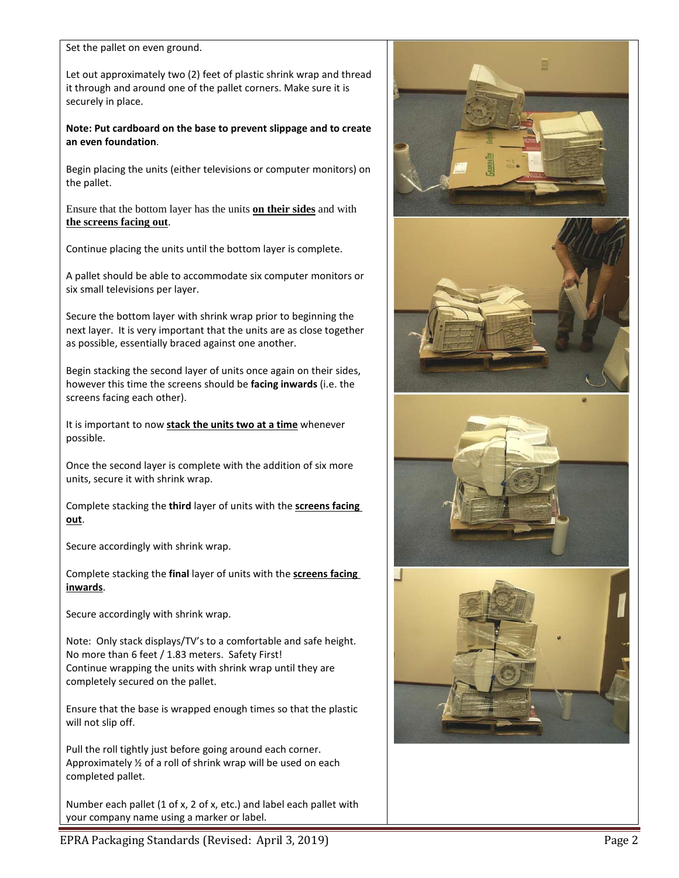Set the pallet on even ground.

Let out approximately two (2) feet of plastic shrink wrap and thread it through and around one of the pallet corners. Make sure it is securely in place.

#### **Note: Put cardboard on the base to prevent slippage and to create an even foundation**.

Begin placing the units (either televisions or computer monitors) on the pallet.

Ensure that the bottom layer has the units **on their sides** and with **the screens facing out**.

Continue placing the units until the bottom layer is complete.

A pallet should be able to accommodate six computer monitors or six small televisions per layer.

Secure the bottom layer with shrink wrap prior to beginning the next layer. It is very important that the units are as close together as possible, essentially braced against one another.

Begin stacking the second layer of units once again on their sides, however this time the screens should be **facing inwards** (i.e. the screens facing each other).

It is important to now **stack the units two at a time** whenever possible.

Once the second layer is complete with the addition of six more units, secure it with shrink wrap.

Complete stacking the **third** layer of units with the **screens facing out**.

Secure accordingly with shrink wrap.

Complete stacking the **final** layer of units with the **screens facing inwards**.

Secure accordingly with shrink wrap.

Note: Only stack displays/TV's to a comfortable and safe height. No more than 6 feet / 1.83 meters. Safety First! Continue wrapping the units with shrink wrap until they are completely secured on the pallet.

Ensure that the base is wrapped enough times so that the plastic will not slip off.

Pull the roll tightly just before going around each corner. Approximately ½ of a roll of shrink wrap will be used on each completed pallet.

Number each pallet (1 of x, 2 of x, etc.) and label each pallet with your company name using a marker or label.



EPRA Packaging Standards (Revised: April 3, 2019) **Page 2 Page 2** Page 2